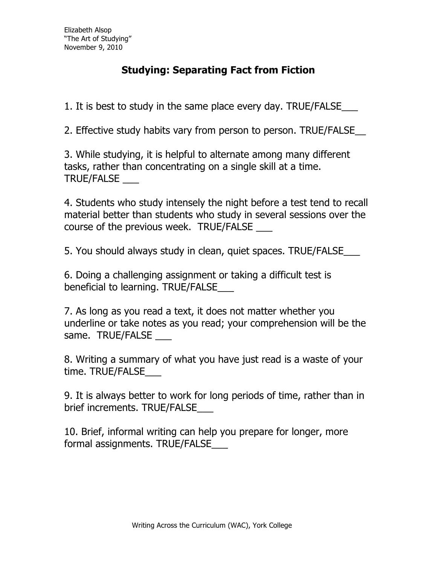## **Studying: Separating Fact from Fiction**

1. It is best to study in the same place every day. TRUE/FALSE\_\_\_

2. Effective study habits vary from person to person. TRUE/FALSE\_\_

3. While studying, it is helpful to alternate among many different tasks, rather than concentrating on a single skill at a time. TRUE/FALSE \_\_\_

4. Students who study intensely the night before a test tend to recall material better than students who study in several sessions over the course of the previous week. TRUE/FALSE

5. You should always study in clean, quiet spaces. TRUE/FALSE\_\_\_

6. Doing a challenging assignment or taking a difficult test is beneficial to learning. TRUE/FALSE

7. As long as you read a text, it does not matter whether you underline or take notes as you read; your comprehension will be the same. TRUE/FALSE

8. Writing a summary of what you have just read is a waste of your time. TRUE/FALSE\_\_\_

9. It is always better to work for long periods of time, rather than in brief increments. TRUE/FALSE\_\_\_

10. Brief, informal writing can help you prepare for longer, more formal assignments. TRUE/FALSE\_\_\_